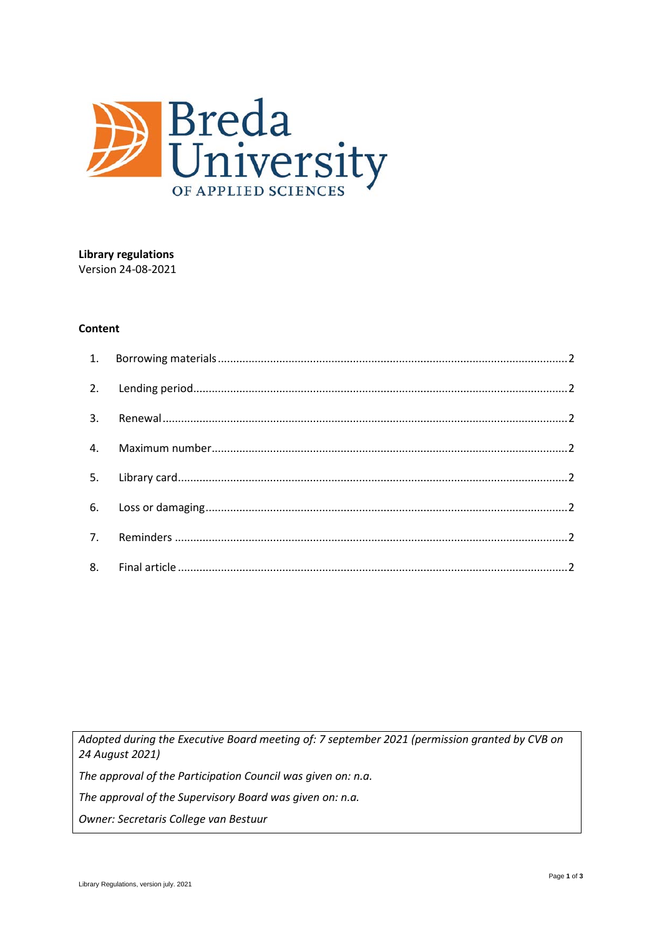

# **Library regulations** Version 24-08-2021

#### Content

Adopted during the Executive Board meeting of: 7 september 2021 (permission granted by CVB on 24 August 2021)

The approval of the Participation Council was given on: n.a.

The approval of the Supervisory Board was given on: n.a.

Owner: Secretaris College van Bestuur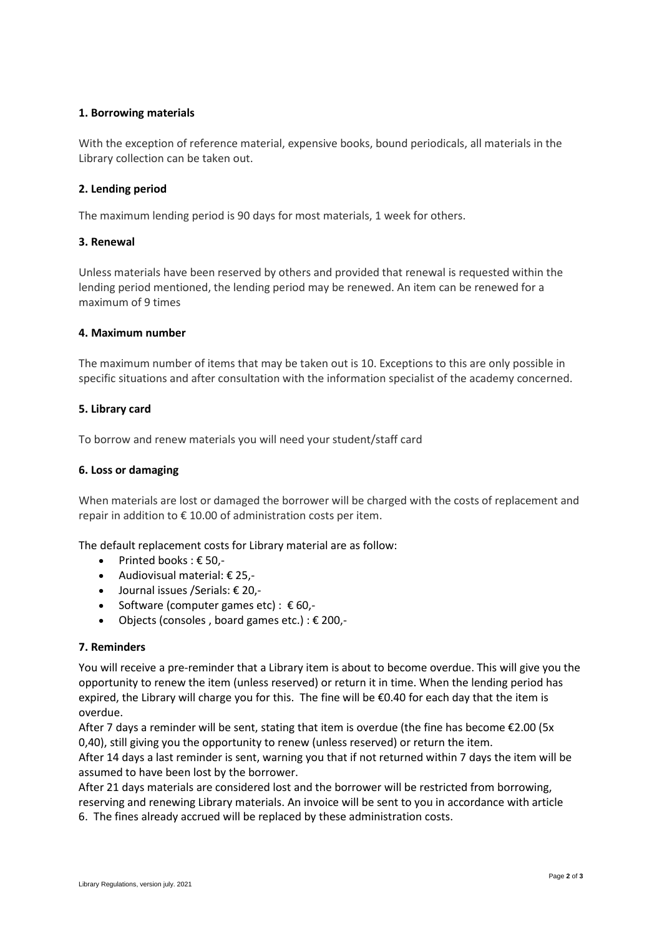## **1. Borrowing materials**

With the exception of reference material, expensive books, bound periodicals, all materials in the Library collection can be taken out.

## **2. Lending period**

The maximum lending period is 90 days for most materials, 1 week for others.

### **3. Renewal**

Unless materials have been reserved by others and provided that renewal is requested within the lending period mentioned, the lending period may be renewed. An item can be renewed for a maximum of 9 times

### **4. Maximum number**

The maximum number of items that may be taken out is 10. Exceptions to this are only possible in specific situations and after consultation with the information specialist of the academy concerned.

### **5. Library card**

To borrow and renew materials you will need your student/staff card

#### **6. Loss or damaging**

When materials are lost or damaged the borrower will be charged with the costs of replacement and repair in addition to  $\epsilon$  10.00 of administration costs per item.

The default replacement costs for Library material are as follow:

- Printed books : € 50,-
- Audiovisual material: € 25,-
- Journal issues /Serials: € 20,-
- Software (computer games etc) :  € 60,-
- Objects (consoles, board games etc.) :  $\epsilon$  200,-

## **7. Reminders**

You will receive a pre-reminder that a Library item is about to become overdue. This will give you the opportunity to renew the item (unless reserved) or return it in time. When the lending period has expired, the Library will charge you for this.  The fine will be €0.40 for each day that the item is overdue.

After 7 days a reminder will be sent, stating that item is overdue (the fine has become €2.00 (5x 0,40), still giving you the opportunity to renew (unless reserved) or return the item.

After 14 days a last reminder is sent, warning you that if not returned within 7 days the item will be assumed to have been lost by the borrower.

After 21 days materials are considered lost and the borrower will be restricted from borrowing, reserving and renewing Library materials. An invoice will be sent to you in accordance with article 6. The fines already accrued will be replaced by these administration costs.